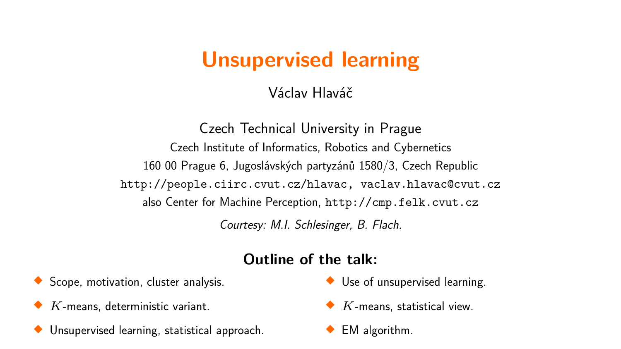# **Unsupervised learning**

Václav Hlaváč

Czech Technical University in Prague Czech Institute of Informatics, Robotics and Cybernetics 160 00 Prague 6, Jugoslávských partyzánů 1580/3, Czech Republic http://people.ciirc.cvut.cz/hlavac, vaclav.hlavac@cvut.cz also Center for Machine Perception, http://cmp.felk.cvut.cz Courtesy: M.I. Schlesinger, B. Flach.

#### **Outline of the talk:**

◆ Scope, motivation, cluster analysis.

- *K*-means, deterministic variant.
- ◆ Unsupervised learning, statistical approach.
- Use of unsupervised learning.
- ◆ *K*-means, statistical view.
- ◆ EM algorithm.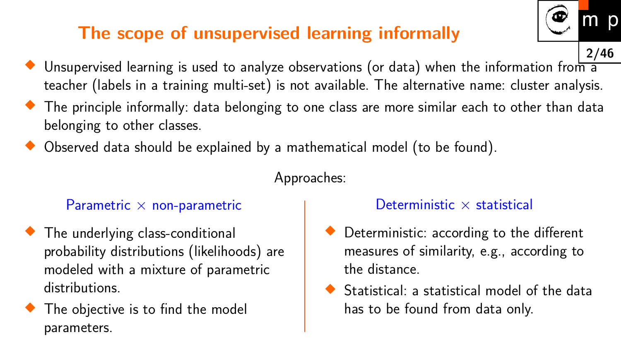### **The scope of unsupervised learning informally**

- **2/46**  $\blacklozenge$  Unsupervised learning is used to analyze observations (or data) when the information from a teacher (labels in a training multi-set) is not available. The alternative name: cluster analysis.
- $\blacklozenge$  The principle informally: data belonging to one class are more similar each to other than data belonging to other classes.
- Observed data should be explained by a mathematical model (to be found).

Approaches:

#### Parametric  $\times$  non-parametric

- $\blacklozenge$  The underlying class-conditional probability distributions (likelihoods) are modeled with a mixture of parametric distributions.
- The objective is to find the model parameters.

#### Deterministic  $\times$  statistical

- ◆ Deterministic: according to the different measures of similarity, e.g., according to the distance.
- Statistical: a statistical model of the data has to be found from data only.

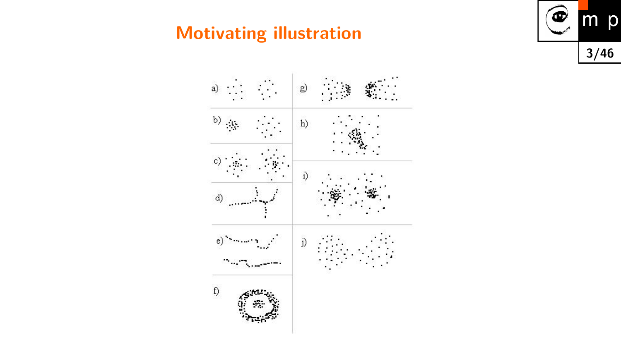### **Motivating illustration**



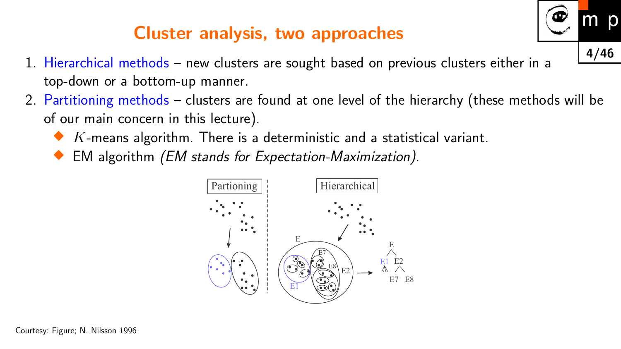### **Cluster analysis, two approaches**

- 1. Hierarchical methods new clusters are sought based on previous clusters either in a top-down or a bottom-up manner.
- <span id="page-3-0"></span>2. Partitioning methods – clusters are found at one level of the hierarchy (these methods will be of our main concern in this lecture).

**4/46**

p

- $\blacklozenge\; K\text{-means algorithm.}$  There is a deterministic and a statistical variant.
- ♦ EM algorithm (EM stands for Expectation-Maximization).

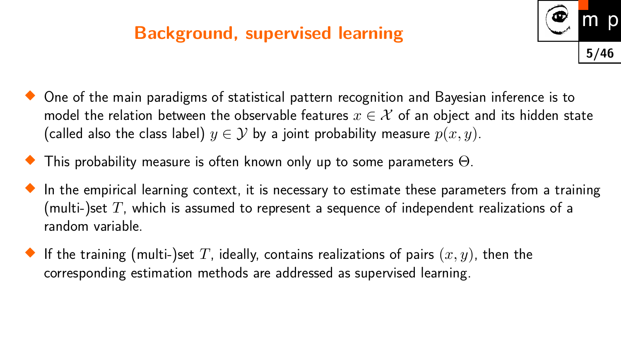#### **Background, supervised learning**



- $\blacklozenge$  One of the main paradigms of statistical pattern recognition and Bayesian inference is to model the relation between the observable features  $x \in \mathcal{X}$  of an object and its hidden state (called also the class label)  $y \in \mathcal{Y}$  by a joint probability measure  $p(x, y)$ .
- $\blacklozenge$  This probability measure is often known only up to some parameters  $\Theta.$
- $\blacklozenge$  In the empirical learning context, it is necessary to estimate these parameters from a training (multi-)set *T*, which is assumed to represent a sequence of independent realizations of a random variable.
- $\blacklozenge$  If the training (multi-)set  $T$ , ideally, contains realizations of pairs  $(x,y)$ , then the corresponding estimation methods are addressed as supervised learning.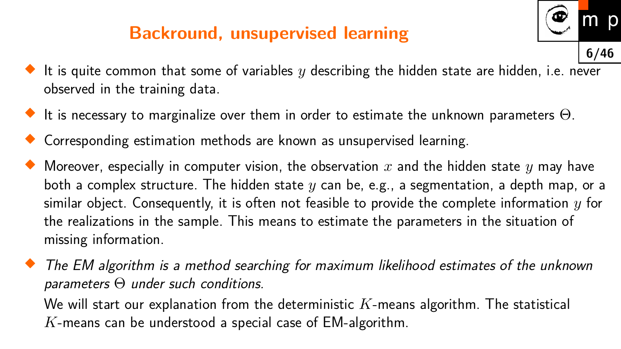### **Backround, unsupervised learning**



- $\blacklozenge$  It is quite common that some of variables  $y$  describing the hidden state are hidden, i.e. never observed in the training data.
- $\blacklozenge$  It is necessary to marginalize over them in order to estimate the unknown parameters  $\Theta.$
- Corresponding estimation methods are known as unsupervised learning.
- $\blacklozenge$  Moreover, especially in computer vision, the observation  $x$  and the hidden state  $y$  may have both a complex structure. The hidden state *y* can be, e.g., a segmentation, a depth map, or a similar object. Consequently, it is often not feasible to provide the complete information *y* for the realizations in the sample. This means to estimate the parameters in the situation of missing information.
- ♦ The EM algorithm is a method searching for maximum likelihood estimates of the unknown parameters Θ under such conditions. We will start our explanation from the deterministic *K*-means algorithm. The statistical *K*-means can be understood a special case of EM-algorithm.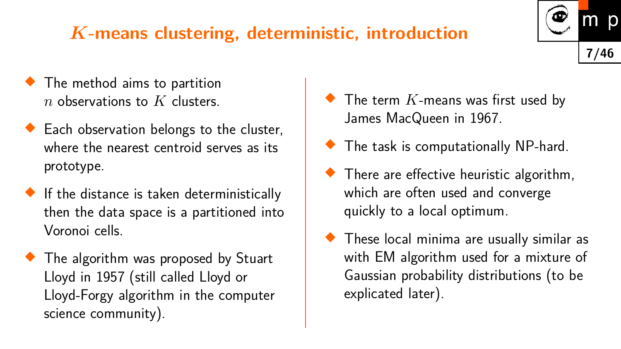## *K***-means clustering, deterministic, introduction**

- $\blacklozenge$  The method aims to partition *n* observations to *K* clusters.
- ◆ Each observation belongs to the cluster, where the nearest centroid serves as its prototype.
- $\blacklozenge$  If the distance is taken deterministically then the data space is a partitioned into Voronoi cells.
- $\blacklozenge$  The algorithm was proposed by Stuart Lloyd in 1957 (still called Lloyd or Lloyd-Forgy algorithm in the computer science community).
- $\blacklozenge$  The term  $K$ -means was first used by James MacQueen in 1967.
- ◆ The task is computationally NP-hard.
- **There are effective heuristic algorithm,** which are often used and converge quickly to a local optimum.
- These local minima are usually similar as with EM algorithm used for a mixture of Gaussian probability distributions (to be explicated later).

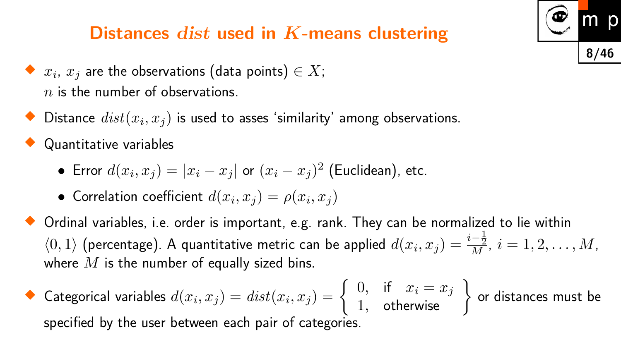#### **Distances** dist **used in** *K***-means clustering**

- $\blacklozenge$   $x_i$ ,  $x_j$  are the observations (data points)  $\in X;$ *n* is the number of observations.
- $\blacklozenge$  Distance  $dist(x_i,x_j)$  is used to asses 'similarity' among observations.

♦ Quantitative variables

- Error  $d(x_i, x_j) = |x_i x_j|$  or  $(x_i x_j)^2$  (Euclidean), etc.
- Correlation coefficient  $d(x_i, x_j) = \rho(x_i, x_j)$
- Ordinal variables, i.e. order is important, e.g. rank. They can be normalized to lie within  $\langle 0,1 \rangle$  (percentage). A quantitative metric can be applied  $d(x_i, x_j) = \frac{i - \frac{1}{2}}{M}$  $\frac{-\frac{1}{2}}{M}$ ,  $i=1,2,\ldots,M$ , where *M* is the number of equally sized bins.

**8/46**

p

 $\blacklozenge$  Categorical variables  $d(x_i, x_j) = dist(x_i, x_j) = 0$  $\left\{\begin{array}{c} 0, & \text{if } x_i = x_j \\ 1, & \text{otherwise} \end{array}\right\}$ or distances must be specified by the user between each pair of categories.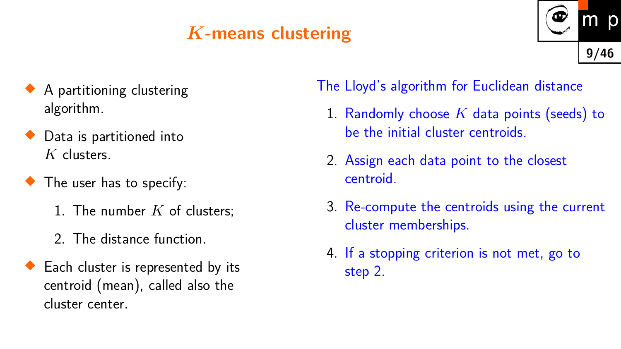## *K***-means clustering**



- ♦ A partitioning clustering algorithm.
- ◆ Data is partitioned into *K* clusters.
- The user has to specify:
	- 1. The number *K* of clusters;
	- 2. The distance function.
- **Each cluster is represented by its** centroid (mean), called also the cluster center.

The Lloyd's algorithm for Euclidean distance

- 1. Randomly choose *K* data points (seeds) to be the initial cluster centroids.
- 2. Assign each data point to the closest centroid.
- 3. Re-compute the centroids using the current cluster memberships.
- 4. If a stopping criterion is not met, go to step 2.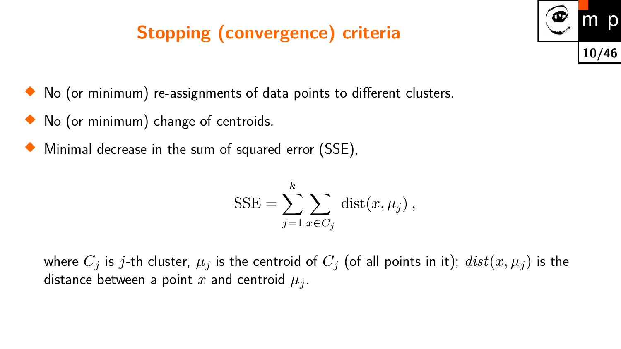## **Stopping (convergence) criteria**



- No (or minimum) change of centroids.
- ♦ Minimal decrease in the sum of squared error (SSE),

$$
SSE = \sum_{j=1}^{k} \sum_{x \in C_j} dist(x, \mu_j),
$$

where  $C_j$  is *j*-th cluster,  $\mu_j$  is the centroid of  $C_j$  (of all points in it);  $dist(x, \mu_j)$  is the distance between a point  $x$  and centroid  $\mu_j$ .

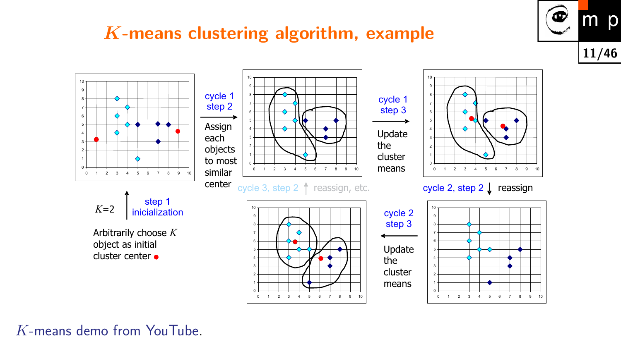#### *K***-means clustering algorithm, example**



0 1 2 3 4 5 6 7 8 9  $10 -$ 0 1 2 3 4 5 6 7 8 9 10 0 1  $\overline{2}$ 3 4 5 6 7 8 9  $10 -$ 0 1 2 3 4 5 6 7 8 9 10 0 1 2 3 4 5 6 7 8 9 10 0 1 2 3 4 5 6 7 8 9 10 0 1 2 3 4 5 6 7 8 9 10 0 1 2 3 4 5 6 7 8 9 10 0 1 2 3 4 5 6 7 8 9 10 *K*=2 Arbitrarily choose *K* object as initial cluster center Assign each objects to most similar center Update the cluster means Update the cluster means cycle 2, step  $2 \downarrow$  reassign cycle 1 step 2 cycle 3, step 2  $\uparrow$  reassign, etc. step 1 inicialization cycle 1 step 3 cycle 2 step 3

*K*[-means demo from YouTube.](https://www.youtube.com/watch?v=BVFG7fd1H30)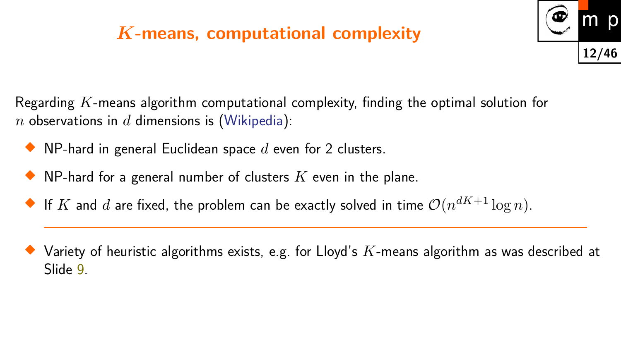### *K***-means, computational complexity**



Regarding *K*-means algorithm computational complexity, finding the optimal solution for *n* observations in *d* dimensions is [\(Wikipedia\)](http://en.wikipedia.org/wiki/K-means_clustering):

- $\blacklozenge$  NP-hard in general Euclidean space  $d$  even for 2 clusters.
- $\blacklozenge$  NP-hard for a general number of clusters  $K$  even in the plane.
- $\blacklozenge$  If  $K$  and  $d$  are fixed, the problem can be exactly solved in time  $\mathcal{O}(n^{dK+1}\log n).$
- $\blacklozenge$  Variety of heuristic algorithms exists, e.g. for Lloyd's  $K$ -means algorithm as was described at Slide [9.](#page-3-0)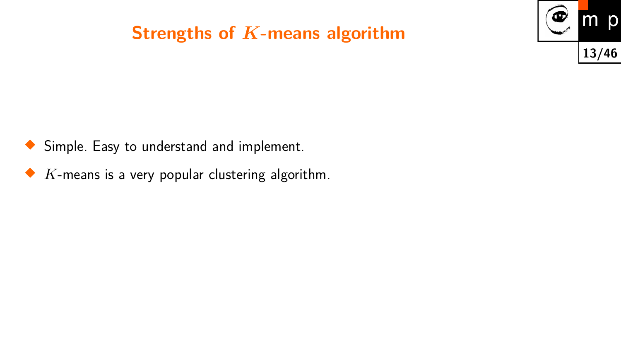#### **Strengths of** *K***-means algorithm**



- ◆ Simple. Easy to understand and implement.
- $\blacklozenge\;K$ -means is a very popular clustering algorithm.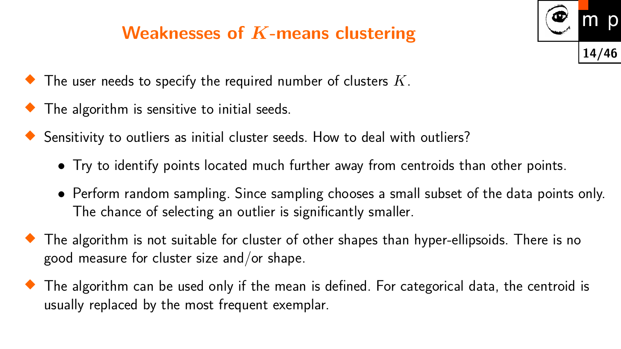### **Weaknesses of** *K***-means clustering**



- $\blacklozenge$  The user needs to specify the required number of clusters  $K.$
- The algorithm is sensitive to initial seeds.
- Sensitivity to outliers as initial cluster seeds. How to deal with outliers?
	- Try to identify points located much further away from centroids than other points.
	- Perform random sampling. Since sampling chooses a small subset of the data points only. The chance of selecting an outlier is significantly smaller.
- $\blacklozenge$  The algorithm is not suitable for cluster of other shapes than hyper-ellipsoids. There is no good measure for cluster size and/or shape.
- $\blacklozenge$  The algorithm can be used only if the mean is defined. For categorical data, the centroid is usually replaced by the most frequent exemplar.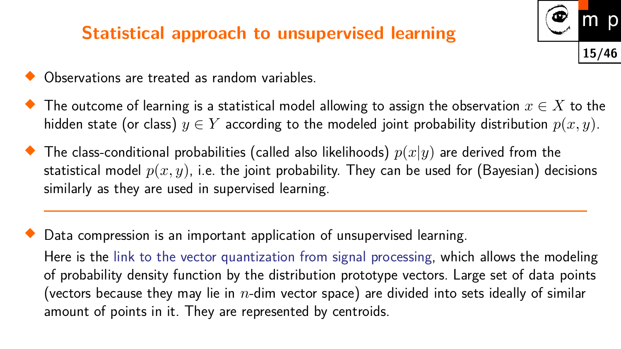#### **Statistical approach to unsupervised learning**



- ◆ Observations are treated as random variables.
- $\blacklozenge$  The outcome of learning is a statistical model allowing to assign the observation  $x\in X$  to the hidden state (or class)  $y \in Y$  according to the modeled joint probability distribution  $p(x, y)$ .
- $\blacklozenge$  The class-conditional probabilities (called also likelihoods)  $p(x|y)$  are derived from the statistical model  $p(x, y)$ , i.e. the joint probability. They can be used for (Bayesian) decisions similarly as they are used in supervised learning.

♦ Data compression is an important application of unsupervised learning. Here is the [link to the vector quantization from signal processing,](https://www.sciencedirect.com/topics/engineering/vector-quantization) which allows the modeling of probability density function by the distribution prototype vectors. Large set of data points (vectors because they may lie in *n*-dim vector space) are divided into sets ideally of similar amount of points in it. They are represented by centroids.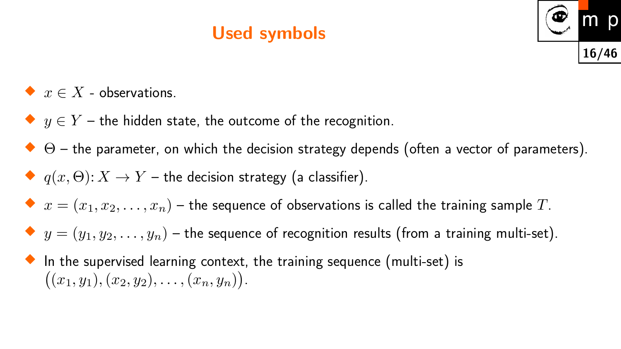### **Used symbols**



- $\blacklozenge$  *x* ∈ *X* observations.
- ◆  $y\in Y$  the hidden state, the outcome of the recognition.
- $\blacklozenge \Theta$  the parameter, on which the decision strategy depends (often a vector of parameters).
- $\blacklozenge\; q(x,\Theta)\colon X\to Y$  the decision strategy (a classifier).
- $\blacklozenge\; x=(x_1,x_2,\ldots,x_n)$  the sequence of observations is called the training sample  $T.$
- $\blacklozenge\; y=(y_1,y_2,\ldots,y_n)$  the sequence of recognition results (from a training multi-set).
- $\blacklozenge$  In the supervised learning context, the training sequence (multi-set) is  $((x_1, y_1), (x_2, y_2), \ldots, (x_n, y_n)).$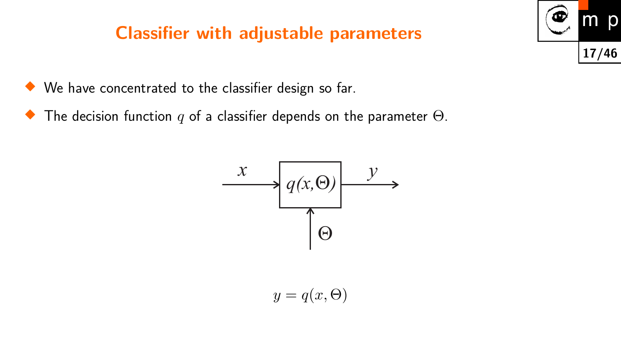#### **Classifier with adjustable parameters**

We have concentrated to the classifier design so far.

 $\bullet$ The decision function *q* of a classifier depends on the parameter Θ.



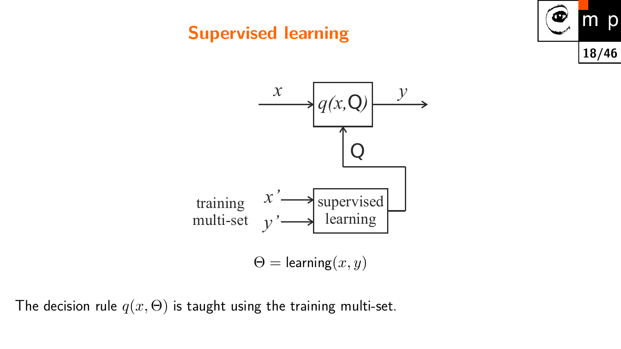### **Supervised learning**





The decision rule  $q(x, \Theta)$  is taught using the training multi-set.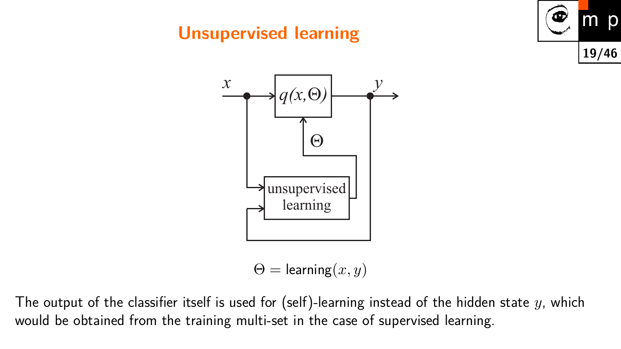### **Unsupervised learning**





 $\Theta =$  learning $(x, y)$ 

The output of the classifier itself is used for (self)-learning instead of the hidden state *y*, which would be obtained from the training multi-set in the case of supervised learning.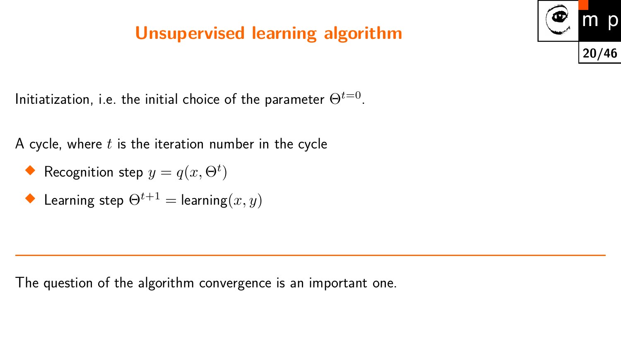### **Unsupervised learning algorithm**



Initiatization, i.e. the initial choice of the parameter  $\Theta^{t=0}.$ 

A cycle, where *t* is the iteration number in the cycle

- **Recognition step**  $y = q(x, \Theta^t)$
- $\blacklozenge$  Learning step  $\Theta^{t+1} =$  learning $(x, y)$

The question of the algorithm convergence is an important one.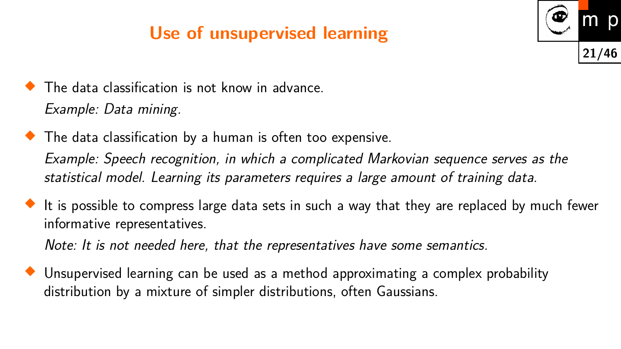## **Use of unsupervised learning**



- ♦ The data classification is not know in advance. Example: Data mining.
- The data classification by a human is often too expensive.

Example: Speech recognition, in which a complicated Markovian sequence serves as the statistical model. Learning its parameters requires a large amount of training data.

 $\blacklozenge$  It is possible to compress large data sets in such a way that they are replaced by much fewer informative representatives.

Note: It is not needed here, that the representatives have some semantics.

 Unsupervised learning can be used as a method approximating a complex probability distribution by a mixture of simpler distributions, often Gaussians.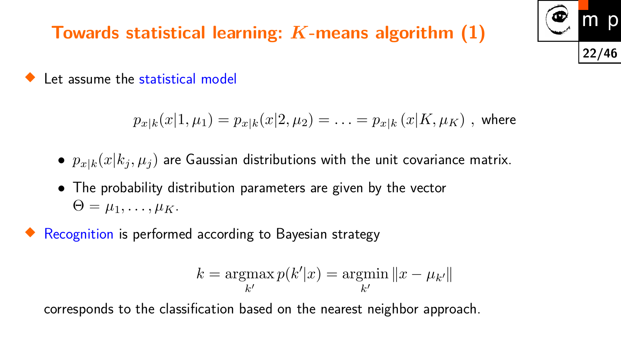### **Towards statistical learning:** *K***-means algorithm (1)**



♦ Let assume the statistical model

$$
p_{x|k}(x|1, \mu_1) = p_{x|k}(x|2, \mu_2) = \ldots = p_{x|k}(x|K, \mu_K) \text{ , where }
$$

- $p_{x|k}(x|k_j, \mu_j)$  are Gaussian distributions with the unit covariance matrix.
- The probability distribution parameters are given by the vector  $\Theta = \mu_1, \ldots, \mu_K$ .
- ♦ Recognition is performed according to Bayesian strategy

$$
k = \operatorname*{argmax}_{k'} p(k'|x) = \operatorname*{argmin}_{k'} \|x - \mu_{k'}\|
$$

corresponds to the classification based on the nearest neighbor approach.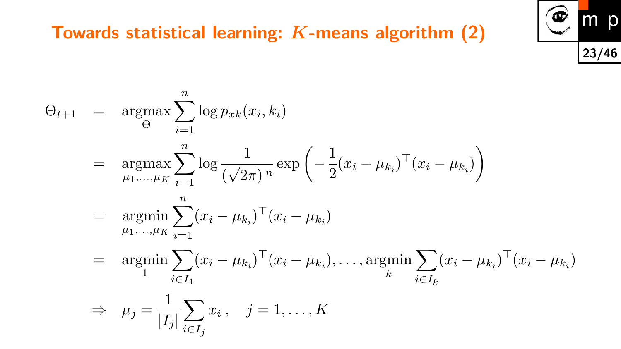

### **Towards statistical learning:** *K***-means algorithm (2)**

$$
\Theta_{t+1} = \underset{\Theta}{\operatorname{argmax}} \sum_{i=1}^{n} \log p_{xk}(x_i, k_i)
$$
  
\n
$$
= \underset{\mu_1, ..., \mu_K}{\operatorname{argmax}} \sum_{i=1}^{n} \log \frac{1}{(\sqrt{2\pi})^n} \exp \left( -\frac{1}{2} (x_i - \mu_{k_i})^\top (x_i - \mu_{k_i}) \right)
$$
  
\n
$$
= \underset{\mu_1, ..., \mu_K}{\operatorname{argmin}} \sum_{i=1}^{n} (x_i - \mu_{k_i})^\top (x_i - \mu_{k_i})
$$
  
\n
$$
= \underset{1}{\operatorname{argmin}} \sum_{i \in I_1} (x_i - \mu_{k_i})^\top (x_i - \mu_{k_i}), \dots, \underset{k}{\operatorname{argmin}} \sum_{i \in I_k} (x_i - \mu_{k_i})^\top (x_i - \mu_{k_i})
$$
  
\n
$$
\Rightarrow \mu_j = \frac{1}{|I_j|} \sum_{i \in I_j} x_i, \quad j = 1, ..., K
$$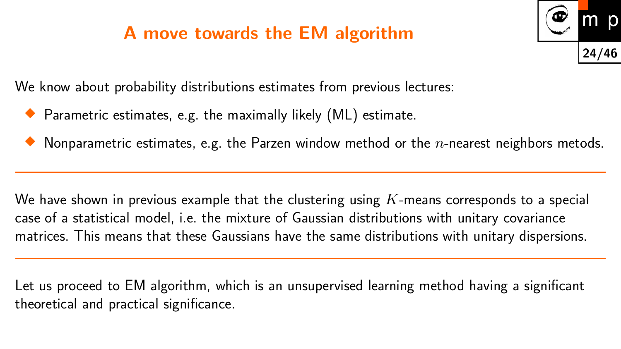### **A move towards the EM algorithm**



We know about probability distributions estimates from previous lectures:

- $\blacklozenge$  Parametric estimates, e.g. the maximally likely  $(\mathsf{ML})$  estimate.
- $\blacklozenge$  Nonparametric estimates, e.g. the Parzen window method or the  $n$ -nearest neighbors metods.

We have shown in previous example that the clustering using *K*-means corresponds to a special case of a statistical model, i.e. the mixture of Gaussian distributions with unitary covariance matrices. This means that these Gaussians have the same distributions with unitary dispersions.

Let us proceed to EM algorithm, which is an unsupervised learning method having a significant theoretical and practical significance.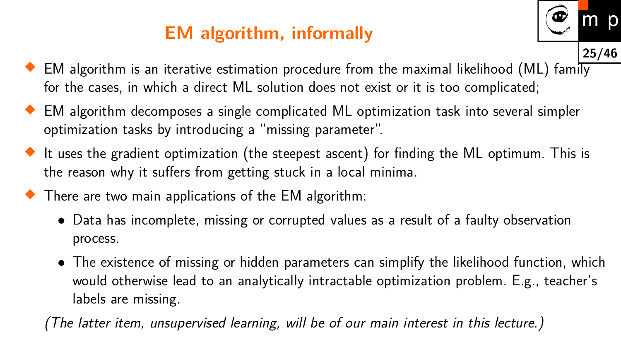## **EM algorithm, informally**



- EM algorithm decomposes a single complicated ML optimization task into several simpler
- optimization tasks by introducing a "missing parameter".
- $\blacklozenge$  It uses the gradient optimization (the steepest ascent) for finding the ML optimum. This is the reason why it suffers from getting stuck in a local minima.
- There are two main applications of the EM algorithm:
	- Data has incomplete, missing or corrupted values as a result of a faulty observation process.
	- The existence of missing or hidden parameters can simplify the likelihood function, which would otherwise lead to an analytically intractable optimization problem. E.g., teacher's labels are missing.

(The latter item, unsupervised learning, will be of our main interest in this lecture.)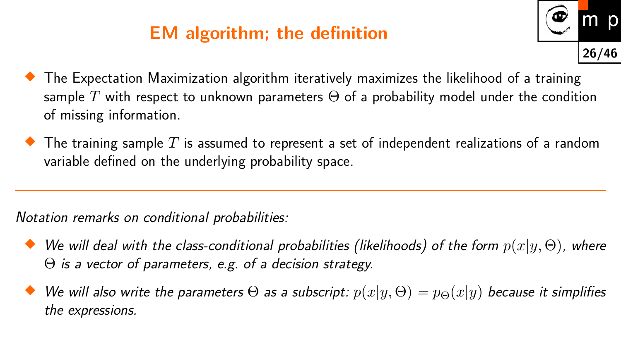### **EM algorithm; the definition**



- $\blacklozenge$  The Expectation Maximization algorithm iteratively maximizes the likelihood of a training sample  $T$  with respect to unknown parameters  $\Theta$  of a probability model under the condition of missing information.
- $\blacklozenge$  The training sample  $T$  is assumed to represent a set of independent realizations of a random variable defined on the underlying probability space.

Notation remarks on conditional probabilities:

- $\blacklozenge$  We will deal with the class-conditional probabilities (likelihoods) of the form  $p(x|y,\Theta)$ , where Θ is a vector of parameters, e.g. of a decision strategy.
- $\blacklozenge$  We will also write the parameters  $\Theta$  as a subscript:  $p(x|y,\Theta) = p_\Theta(x|y)$  because it simplifies the expressions.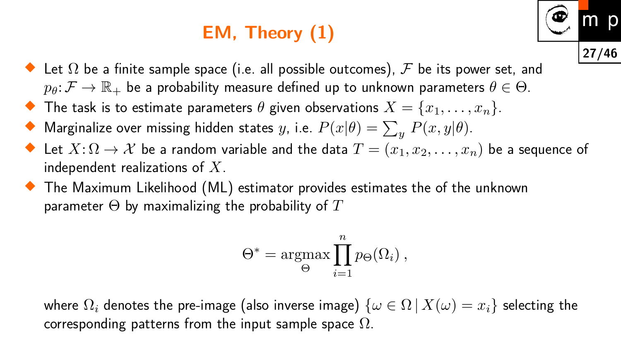## **EM, Theory (1)**



- $\blacklozenge$  Let  $\Omega$  be a finite sample space (i.e. all possible outcomes),  ${\mathcal F}$  be its power set, and  $p_{\theta} \colon \mathcal{F} \to \mathbb{R}_+$  be a probability measure defined up to unknown parameters  $\theta \in \Theta$ .
- $\blacklozenge$  The task is to estimate parameters  $\theta$  given observations  $X = \{x_1, \ldots, x_n\}.$
- $\blacklozenge$  Marginalize over missing hidden states  $y$ , i.e.  $P(x|\theta) = \sum_{y} P(x,y|\theta).$
- $\blacklozenge$  Let  $X{:}\Omega \to \mathcal{X}$  be a random variable and the data  $T = (x_1, x_2, \ldots, x_n)$  be a sequence of independent realizations of *X*.
- $\blacklozenge$  The Maximum Likelihood (ML) estimator provides estimates the of the unknown parameter Θ by maximalizing the probability of *T*

$$
\Theta^* = \underset{\Theta}{\operatorname{argmax}} \prod_{i=1}^n p_{\Theta}(\Omega_i) ,
$$

where  $\Omega_i$  denotes the pre-image (also inverse image)  $\{\omega \in \Omega \mid X(\omega) = x_i\}$  selecting the corresponding patterns from the input sample space  $\Omega$ .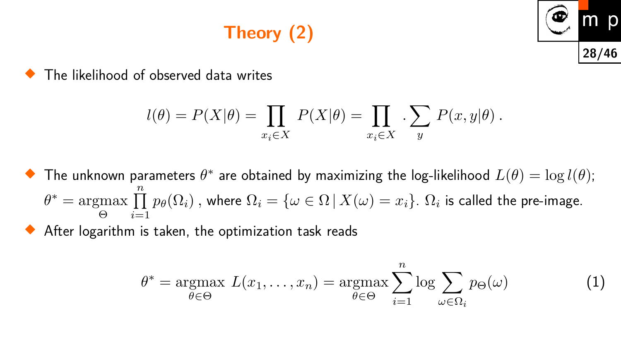# **Theory (2)**



♦ The likelihood of observed data writes

$$
l(\theta) = P(X|\theta) = \prod_{x_i \in X} P(X|\theta) = \prod_{x_i \in X} \cdot \sum_y P(x, y|\theta).
$$

 $\blacklozenge$  The unknown parameters  $\theta^*$  are obtained by maximizing the log-likelihood  $L(\theta) = \log l(\theta)$ ;  $\theta^* = \text{argmax} \prod$ Θ *i*=1 *n*  $p_{\theta}(\Omega_i)$  , where  $\Omega_i = \{\omega \in \Omega \,|\, X(\omega) = x_i\}.$   $\Omega_i$  is called the pre-image.

After logarithm is taken, the optimization task reads

<span id="page-27-0"></span>
$$
\theta^* = \underset{\theta \in \Theta}{\operatorname{argmax}} \ L(x_1, \dots, x_n) = \underset{\theta \in \Theta}{\operatorname{argmax}} \sum_{i=1}^n \log \sum_{\omega \in \Omega_i} p_{\Theta}(\omega) \tag{1}
$$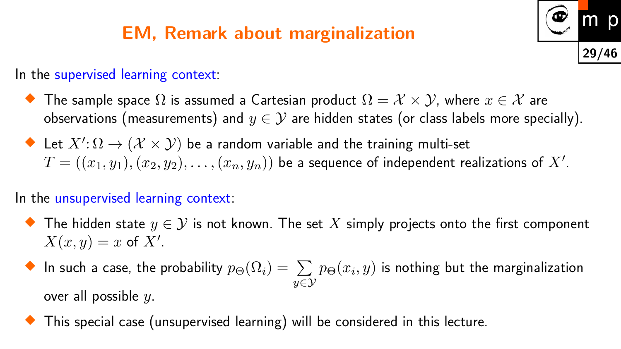### **EM, Remark about marginalization**



In the supervised learning context:

- $\blacklozenge$  The sample space  $\Omega$  is assumed a Cartesian product  $\Omega = \mathcal{X} \times \mathcal{Y}$ , where  $x \in \mathcal{X}$  are observations (measurements) and  $y \in \mathcal{Y}$  are hidden states (or class labels more specially).
- $\blacklozenge$  Let  $X' \colon \Omega \to (\mathcal{X} \times \mathcal{Y})$  be a random variable and the training multi-set  $T = ((x_1,y_1),(x_2,y_2),\ldots,(x_n,y_n))$  be a sequence of independent realizations of  $X'.$

#### In the unsupervised learning context:

- $\blacklozenge$  The hidden state  $y \in \mathcal{Y}$  is not known. The set  $X$  simply projects onto the first component  $X(x, y) = x$  of  $X'$ .
- $\blacklozenge$  In such a case, the probability  $p_{\Theta}(\Omega_i) = \sum \, p_{\Theta}(x_i, y)$  is nothing but the marginalization *y*∈Y over all possible *y*.
- This special case (unsupervised learning) will be considered in this lecture.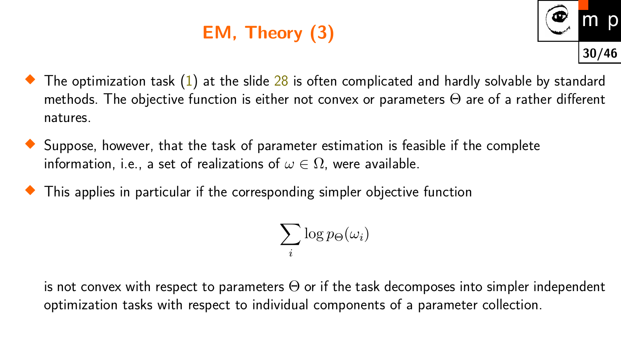# **EM, Theory (3)**



- $\blacklozenge$  The optimization task  $(1)$  at the slide  $28$  is often complicated and hardly solvable by standard methods. The objective function is either not convex or parameters  $\Theta$  are of a rather different natures.
- $\blacklozenge$  Suppose, however, that the task of parameter estimation is feasible if the complete information, i.e., a set of realizations of  $\omega \in \Omega$ , were available.
- This applies in particular if the corresponding simpler objective function

$$
\sum_i \log p_{\Theta}(\omega_i)
$$

is not convex with respect to parameters  $\Theta$  or if the task decomposes into simpler independent optimization tasks with respect to individual components of a parameter collection.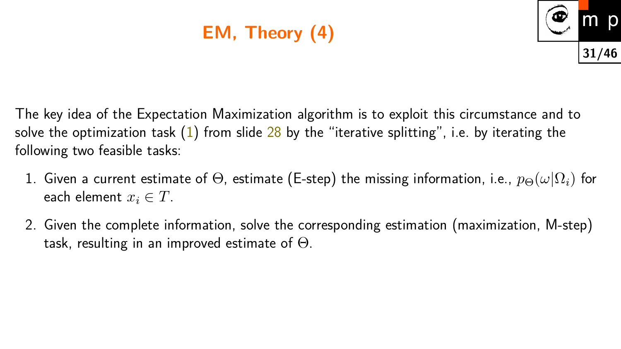# **EM, Theory (4)**



The key idea of the Expectation Maximization algorithm is to exploit this circumstance and to solve the optimization task  $(1)$  from slide  $28$  by the "iterative splitting", i.e. by iterating the following two feasible tasks:

- 1. Given a current estimate of  $\Theta$ , estimate (E-step) the missing information, i.e.,  $p_{\Theta}(\omega|\Omega_i)$  for each element  $x_i \in T$ .
- 2. Given the complete information, solve the corresponding estimation (maximization, M-step) task, resulting in an improved estimate of  $\Theta$ .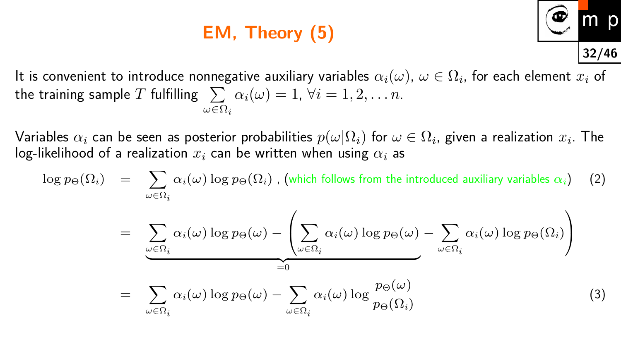## **EM, Theory (5)**



It is convenient to introduce nonnegative auxiliary variables  $\alpha_i(\omega)$ ,  $\omega\in\Omega_i$ , for each element  $x_i$  of  $\textsf{the training sample } T \textnormal{ fulfilling } \sum \ \alpha_i(\omega) = 1, \, \forall i = 1, 2, \ldots n.$ *ω*∈Ω*i*

 ${\sf Variable}$ s  $\alpha_i$  can be seen as posterior probabilities  $p(\omega|\Omega_i)$  for  $\omega\in\Omega_i$ , given a realization  $x_i.$  The log-likelihood of a realization  $x_i$  can be written when using  $\alpha_i$  as

<span id="page-31-0"></span>
$$
\log p_{\Theta}(\Omega_i) = \sum_{\omega \in \Omega_i} \alpha_i(\omega) \log p_{\Theta}(\Omega_i), \text{ (which follows from the introduced auxiliary variables } \alpha_i) \quad (2)
$$
\n
$$
= \sum_{\omega \in \Omega_i} \alpha_i(\omega) \log p_{\Theta}(\omega) - \left( \sum_{\omega \in \Omega_i} \alpha_i(\omega) \log p_{\Theta}(\omega) - \sum_{\omega \in \Omega_i} \alpha_i(\omega) \log p_{\Theta}(\Omega_i) \right)
$$
\n
$$
= \sum_{\omega \in \Omega_i} \alpha_i(\omega) \log p_{\Theta}(\omega) - \sum_{\omega \in \Omega_i} \alpha_i(\omega) \log \frac{p_{\Theta}(\omega)}{p_{\Theta}(\Omega_i)} \tag{3}
$$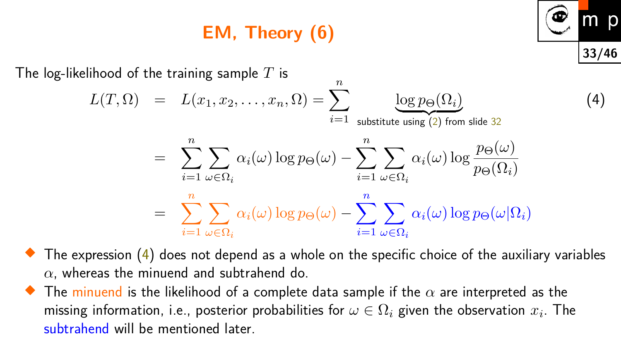## **EM, Theory (6)**

The log-likelihood of the training sample *T* is

<span id="page-32-0"></span>
$$
L(T, \Omega) = L(x_1, x_2, ..., x_n, \Omega) = \sum_{i=1}^{\infty} \underbrace{\log p_{\Theta}(\Omega_i)}_{\text{substitute using (2) from slide 32}}
$$

$$
= \sum_{i=1}^n \sum_{\omega \in \Omega_i} \alpha_i(\omega) \log p_{\Theta}(\omega) - \sum_{i=1}^n \sum_{\omega \in \Omega_i} \alpha_i(\omega) \log \frac{p_{\Theta}(\omega)}{p_{\Theta}(\Omega_i)}
$$

$$
= \sum_{i=1}^n \sum_{\omega \in \Omega_i} \alpha_i(\omega) \log p_{\Theta}(\omega) - \sum_{i=1}^n \sum_{\omega \in \Omega_i} \alpha_i(\omega) \log p_{\Theta}(\omega | \Omega_i)
$$

*n*

**33/46**

p

(4)

 $\blacklozenge$  The expression  $(4)$  does not depend as a whole on the specific choice of the auxiliary variables *α*, whereas the minuend and subtrahend do.

 $\blacklozenge$  The minuend is the likelihood of a complete data sample if the  $\alpha$  are interpreted as the missing information, i.e., posterior probabilities for  $\omega \in \Omega_i$  given the observation  $x_i.$  The subtrahend will be mentioned later.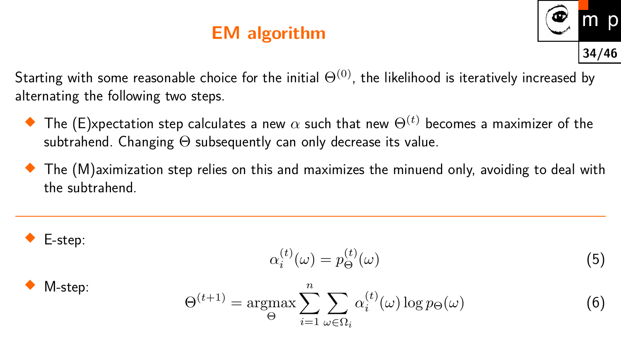### **EM algorithm**



Starting with some reasonable choice for the initial  $\Theta^{(0)}$ , the likelihood is iteratively increased by alternating the following two steps.

- $\blacklozenge$  The (E)xpectation step calculates a new  $\alpha$  such that new  $\Theta^{(t)}$  becomes a maximizer of the subtrahend. Changing  $\Theta$  subsequently can only decrease its value.
- $\blacklozenge$  The  $(\mathsf{M})$ aximization step relies on this and maximizes the minuend only, avoiding to deal with the subtrahend.

$$
\blacklozenge
$$
 E-step:

<span id="page-33-1"></span>
$$
\alpha_i^{(t)}(\omega) = p_{\Theta}^{(t)}(\omega) \tag{5}
$$

$$
\blacklozenge
$$
 M-step:

<span id="page-33-0"></span>
$$
\Theta^{(t+1)} = \underset{\Theta}{\operatorname{argmax}} \sum_{i=1}^{n} \sum_{\omega \in \Omega_i} \alpha_i^{(t)}(\omega) \log p_{\Theta}(\omega) \tag{6}
$$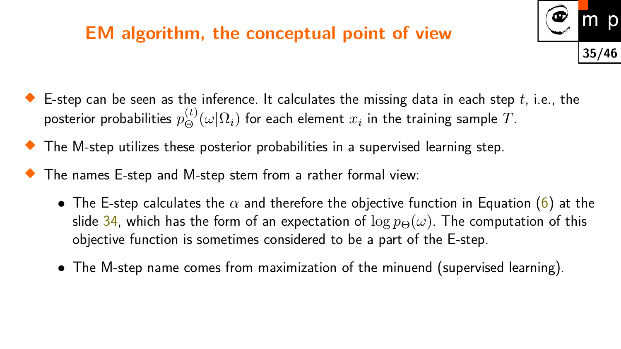### **EM algorithm, the conceptual point of view**



- $\blacklozenge$  E-step can be seen as the inference. It calculates the missing data in each step  $t$ , i.e., the posterior probabilities  $p_{\Theta}^{(t)}(\omega|\Omega_i)$  for each element  $x_i$  in the training sample  $T.$
- The M-step utilizes these posterior probabilities in a supervised learning step.
- The names E-step and M-step stem from a rather formal view:
	- The E-step calculates the  $\alpha$  and therefore the objective function in Equation [\(6\)](#page-33-0) at the slide [34,](#page-33-0) which has the form of an expectation of  $\log p_{\Theta}(\omega)$ . The computation of this objective function is sometimes considered to be a part of the E-step.
	- The M-step name comes from maximization of the minuend (supervised learning).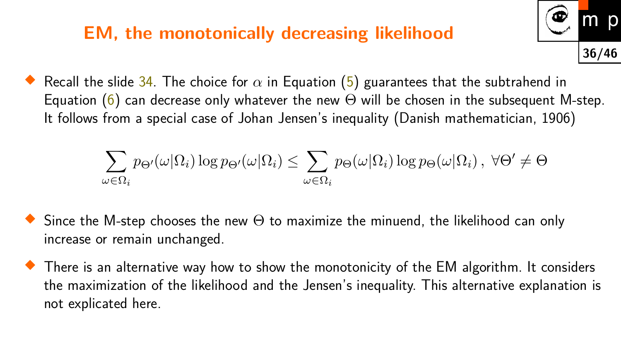### **EM, the monotonically decreasing likelihood**

 $\blacklozenge$  Recall the slide [34.](#page-33-0) The choice for  $\alpha$  in Equation [\(5\)](#page-33-1) guarantees that the subtrahend in Equation [\(6\)](#page-33-0) can decrease only whatever the new  $\Theta$  will be chosen in the subsequent M-step. It follows from a special case of Johan Jensen's inequality (Danish mathematician, 1906)

**36/46**

 $\overline{O}$ 

$$
\sum_{\omega \in \Omega_i} p_{\Theta}(\omega | \Omega_i) \log p_{\Theta}(\omega | \Omega_i) \le \sum_{\omega \in \Omega_i} p_{\Theta}(\omega | \Omega_i) \log p_{\Theta}(\omega | \Omega_i), \ \forall \Theta' \ne \Theta
$$

- $\blacklozenge$  Since the M-step chooses the new  $\Theta$  to maximize the minuend, the likelihood can only increase or remain unchanged.
- $\blacklozenge$  There is an alternative way how to show the monotonicity of the EM algorithm. It considers the maximization of the likelihood and the Jensen's inequality. This alternative explanation is not explicated here.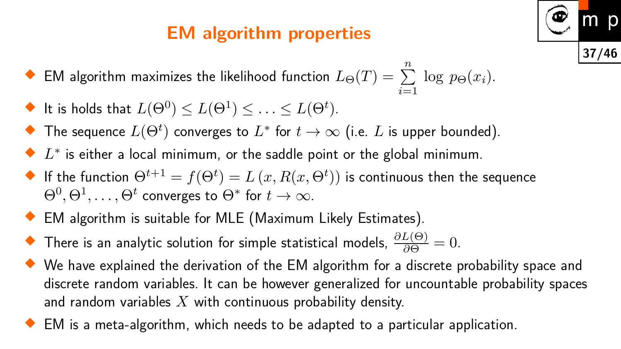## **EM algorithm properties**



- $\blacklozenge$  EM algorithm maximizes the likelihood function  $L_\Theta(T) = \sum$ *n i*=1  $\log p_{\Theta}(x_i)$ .
- $\blacklozenge$  It is holds that  $L(\Theta^0)\leq L(\Theta^1)\leq \ldots \leq L(\Theta^t).$
- $\blacklozenge$  The sequence  $L(\Theta^t)$  converges to  $L^*$  for  $t\to\infty$  (i.e.  $L$  is upper bounded).
- ◆  $L^*$  is either a local minimum, or the saddle point or the global minimum.
- $\blacklozenge$  If the function  $\Theta^{t+1} = f(\Theta^{t}) = L\left(x, R(x, \Theta^{t})\right)$  is continuous then the sequence  $\Theta^0, \Theta^1, \ldots, \Theta^t$  converges to  $\Theta^*$  for  $t \to \infty.$
- EM algorithm is suitable for MLE (Maximum Likely Estimates).
- ◆ There is an analytic solution for simple statistical models,  $\frac{\partial L(\Theta)}{\partial \Theta} = 0$ .
- We have explained the derivation of the EM algorithm for a discrete probability space and discrete random variables. It can be however generalized for uncountable probability spaces and random variables *X* with continuous probability density.
- EM is a meta-algorithm, which needs to be adapted to a particular application.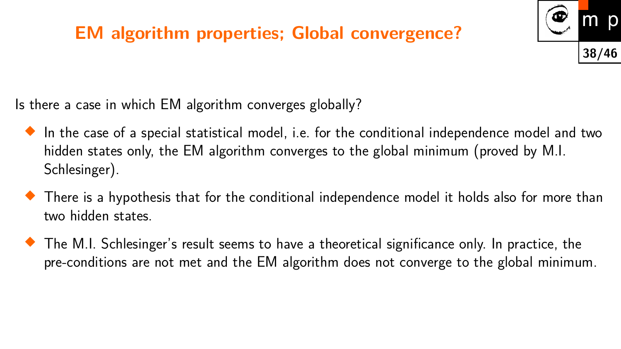### **EM algorithm properties; Global convergence?**



Is there a case in which EM algorithm converges globally?

- $\blacklozenge$  In the case of a special statistical model, i.e. for the conditional independence model and two hidden states only, the EM algorithm converges to the global minimum (proved by M.I. Schlesinger).
- $\blacklozenge$  There is a hypothesis that for the conditional independence model it holds also for more than two hidden states.
- The M.I. Schlesinger's result seems to have a theoretical significance only. In practice, the pre-conditions are not met and the EM algorithm does not converge to the global minimum.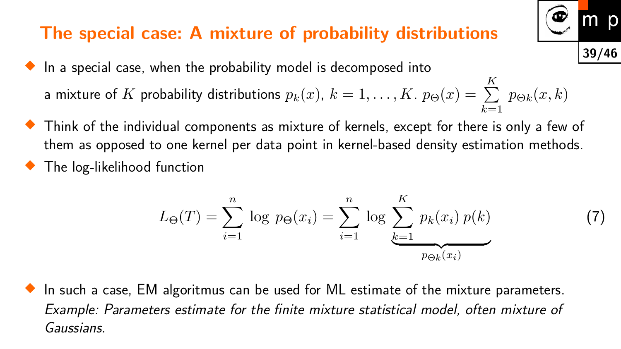#### **The special case: A mixture of probability distributions**

- $\blacklozenge$  In a special case, when the probability model is decomposed into a mixture of  $K$  probability distributions  $p_k(x)$ ,  $k=1,\ldots,K$  .  $p_\Theta(x)=\,\sum\,$ *K k*=1  $p_{\Theta k}(x,k)$
- $\blacklozenge$  Think of the individual components as mixture of kernels, except for there is only a few of them as opposed to one kernel per data point in kernel-based density estimation methods.
- ♦ The log-likelihood function

<span id="page-38-0"></span>
$$
L_{\Theta}(T) = \sum_{i=1}^{n} \log p_{\Theta}(x_i) = \sum_{i=1}^{n} \log \sum_{k=1}^{K} p_k(x_i) p(k)
$$
(7)

**39/46**

m

D

 $\blacklozenge$  In such a case, EM algoritmus can be used for ML estimate of the mixture parameters. Example: Parameters estimate for the finite mixture statistical model, often mixture of Gaussians.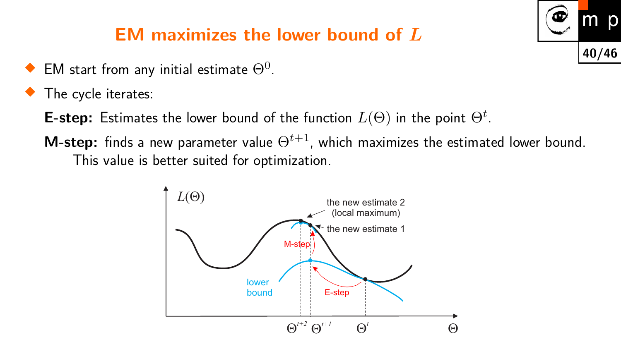### **EM maximizes the lower bound of** *L*

- $\blacklozenge$  EM start from any initial estimate  $\Theta^0.$
- ♦ The cycle iterates:
	- **E-step:** Estimates the lower bound of the function  $L(\Theta)$  in the point  $\Theta^t$ .
	- **M-step:** finds a new parameter value  $\Theta^{t+1}$ , which maximizes the estimated lower bound. This value is better suited for optimization.



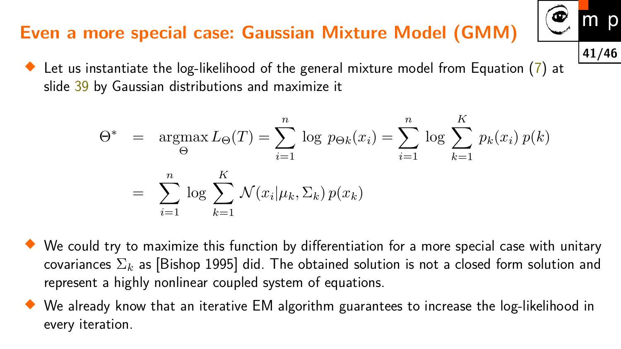## **Even a more special case: Gaussian Mixture Model (GMM)**

 $\blacklozenge$  Let us instantiate the log-likelihood of the general mixture model from Equation ([7\)](#page-38-0) at slide [39](#page-38-0) by Gaussian distributions and maximize it

$$
\Theta^* = \underset{i=1}{\operatorname{argmax}} L_{\Theta}(T) = \sum_{i=1}^n \log p_{\Theta k}(x_i) = \sum_{i=1}^n \log \sum_{k=1}^K p_k(x_i) p(k)
$$

$$
= \sum_{i=1}^n \log \sum_{k=1}^K \mathcal{N}(x_i | \mu_k, \Sigma_k) p(x_k)
$$

- $\blacklozenge$  We could try to maximize this function by differentiation for a more special case with unitary covariances Σ*<sup>k</sup>* as [Bishop 1995] did. The obtained solution is not a closed form solution and represent a highly nonlinear coupled system of equations.
- We already know that an iterative EM algorithm guarantees to increase the log-likelihood in every iteration.

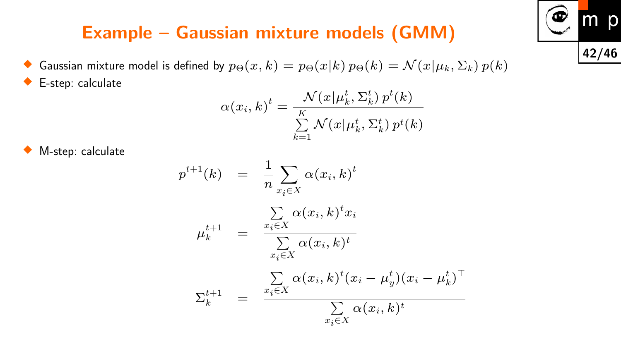### **Example – Gaussian mixture models (GMM)**

♦ Gaussian mixture model is defined by  $p_{\Theta}(x, k) = p_{\Theta}(x|k) p_{\Theta}(k) = \mathcal{N}(x|\mu_k, \Sigma_k) p(k)$ ♦ E-step: calculate

$$
\alpha(x_i, k)^t = \frac{\mathcal{N}(x | \mu_k^t, \Sigma_k^t) p^t(k)}{\sum\limits_{k=1}^K \mathcal{N}(x | \mu_k^t, \Sigma_k^t) p^t(k)}
$$

♦ M-step: calculate

$$
p^{t+1}(k) = \frac{1}{n} \sum_{x_i \in X} \alpha(x_i, k)^t
$$
  
\n
$$
\mu_k^{t+1} = \frac{\sum_{x_i \in X} \alpha(x_i, k)^t x_i}{\sum_{x_i \in X} \alpha(x_i, k)^t}
$$
  
\n
$$
\Sigma_k^{t+1} = \frac{\sum_{x_i \in X} \alpha(x_i, k)^t (x_i - \mu_y^t) (x_i - \mu_k^t)^\top}{\sum_{x_i \in X} \alpha(x_i, k)^t}
$$

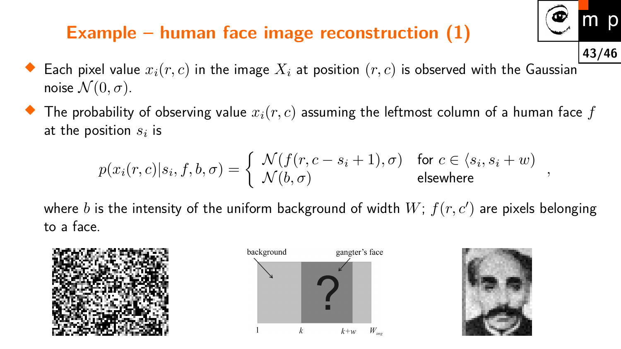### **Example – human face image reconstruction (1)**



- ♦ Each pixel value  $x_i(r, c)$  in the image  $X_i$  at position  $(r, c)$  is observed with the Gaussian noise  $\mathcal{N}(0, \sigma)$ .
- ♦ The probability of observing value *xi*(*r, c*) assuming the leftmost column of a human face *f* at the position  $s_i$  is

$$
p(x_i(r, c) | s_i, f, b, \sigma) = \begin{cases} N(f(r, c - s_i + 1), \sigma) & \text{for } c \in \langle s_i, s_i + w \rangle \\ N(b, \sigma) & \text{elsewhere} \end{cases},
$$

where  $b$  is the intensity of the uniform background of width  $W; \, f(r,c')$  are pixels belonging to a face.





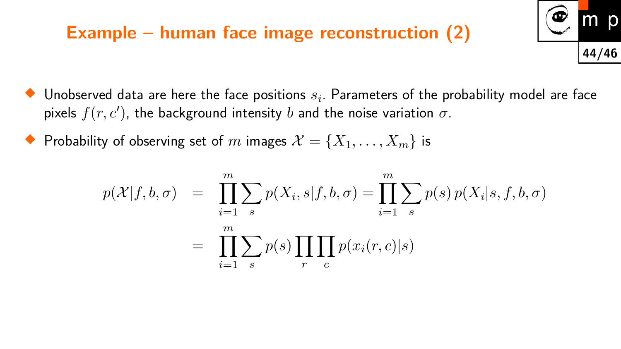#### **Example – human face image reconstruction (2)**

- p **44/46**
- ♦ Unobserved data are here the face positions *s<sup>i</sup>* . Parameters of the probability model are face pixels  $f(r, c')$ , the background intensity  $b$  and the noise variation  $\sigma$ .
- $\blacklozenge$  Probability of observing set of  $m$  images  $\mathcal{X} = \{X_1, \ldots, X_m\}$  is

$$
p(\mathcal{X}|f,b,\sigma) = \prod_{i=1}^{m} \sum_{s} p(X_i, s|f,b,\sigma) = \prod_{i=1}^{m} \sum_{s} p(s) p(X_i|s, f, b, \sigma)
$$

$$
= \prod_{i=1}^{m} \sum_{s} p(s) \prod_{r} \prod_{c} p(x_i(r,c)|s)
$$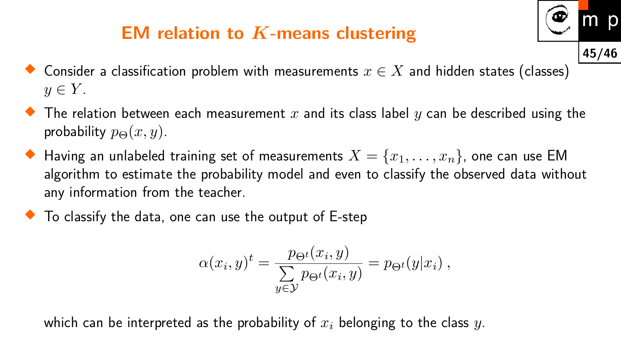### **EM relation to** *K***-means clustering**



- $\blacklozenge$  The relation between each measurement  $x$  and its class label  $y$  can be described using the probability  $p_{\Theta}(x, y)$ .
- $\blacklozenge$  Having an unlabeled training set of measurements  $X = \{x_1, \ldots, x_n\}$ , one can use EM algorithm to estimate the probability model and even to classify the observed data without any information from the teacher.
- $\blacklozenge$  To classify the data, one can use the output of E-step

$$
\alpha(x_i, y)^t = \frac{p_{\Theta^t}(x_i, y)}{\sum_{y \in \mathcal{Y}} p_{\Theta^t}(x_i, y)} = p_{\Theta^t}(y|x_i),
$$

which can be interpreted as the probability of *x<sup>i</sup>* belonging to the class *y*.